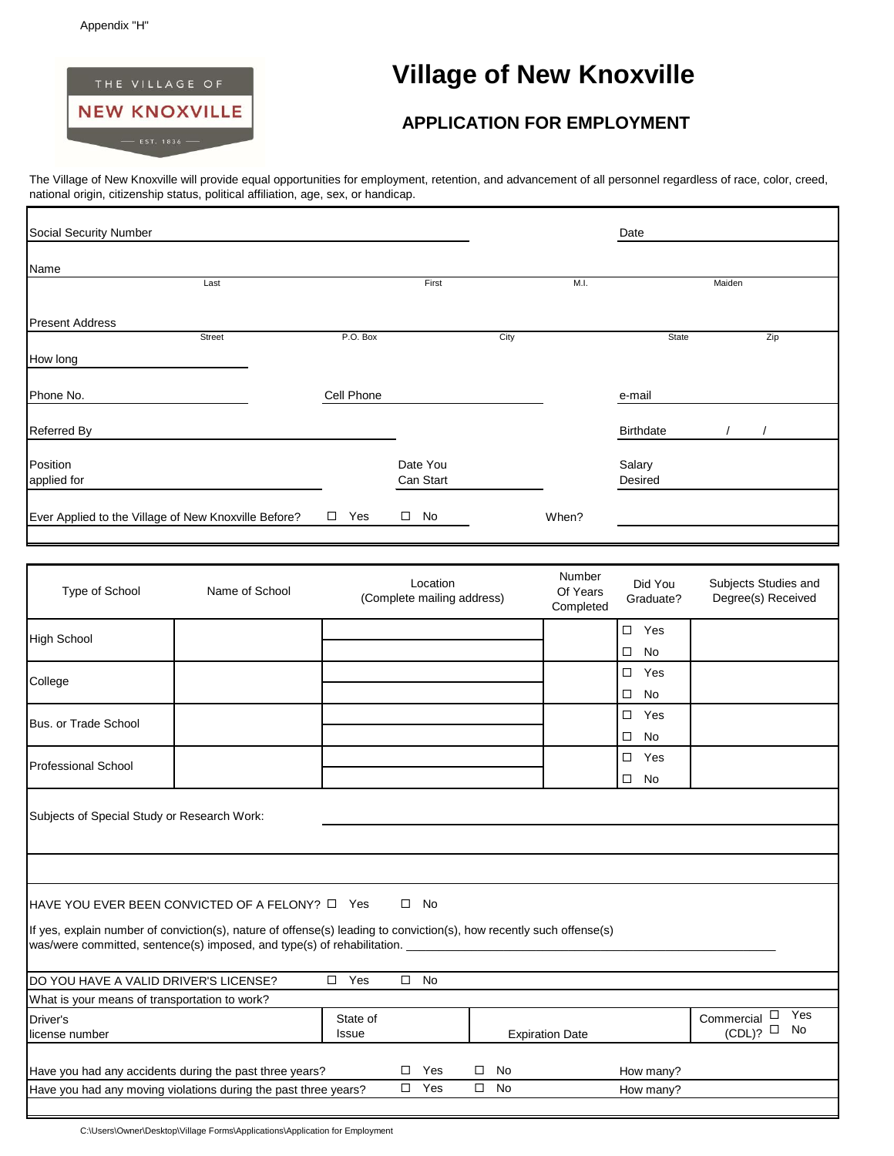Г



## THE VILLAGE OF **THE VILLAGE OF SAULT ASSESSED STATE**

The Village of New Knoxville will provide equal opportunities for employment, retention, and advancement of all personnel regardless of race, color, creed, national origin, citizenship status, political affiliation, age, sex, or handicap.

| Social Security Number                               |               |                                                                                                                  | Date |                    |                                 |                                                                                                          |
|------------------------------------------------------|---------------|------------------------------------------------------------------------------------------------------------------|------|--------------------|---------------------------------|----------------------------------------------------------------------------------------------------------|
| Name                                                 |               |                                                                                                                  |      |                    |                                 |                                                                                                          |
| Last                                                 |               | First                                                                                                            |      | M.I.               |                                 | Maiden                                                                                                   |
| <b>Present Address</b>                               |               |                                                                                                                  |      |                    |                                 |                                                                                                          |
| Street                                               | P.O. Box      |                                                                                                                  | City |                    | State                           | Zip                                                                                                      |
| How long                                             |               |                                                                                                                  |      |                    |                                 |                                                                                                          |
| Phone No.                                            | Cell Phone    |                                                                                                                  |      |                    | e-mail                          |                                                                                                          |
| Referred By                                          |               |                                                                                                                  |      |                    | <b>Birthdate</b>                |                                                                                                          |
| Position<br>applied for                              |               | Date You<br>Can Start                                                                                            |      |                    | Salary<br>Desired               |                                                                                                          |
| Ever Applied to the Village of New Knoxville Before? | $\square$ Yes | $\square$ No                                                                                                     |      | When?              |                                 |                                                                                                          |
|                                                      |               |                                                                                                                  |      |                    |                                 |                                                                                                          |
| Type of School<br>Name of School                     |               | Location<br>$\sqrt{2}$ and $\sqrt{2}$ and $\sqrt{2}$ and $\sqrt{2}$ and $\sqrt{2}$ and $\sqrt{2}$ and $\sqrt{2}$ |      | Number<br>Of Years | Did You<br>$\sim$ $\sim$ $\sim$ | Subjects Studies and<br>$\mathbf{D}$ and $\mathbf{D}$ and $\mathbf{D}$ and $\mathbf{D}$ and $\mathbf{D}$ |

| Type of School                                                                                                                                                                                                                                                                     | Name of School |               |   | (Complete mailing address) |        |           | Of Years<br>Completed  | DIU TUU<br>Graduate? | oanloom oraaloo aha<br>Degree(s) Received |  |
|------------------------------------------------------------------------------------------------------------------------------------------------------------------------------------------------------------------------------------------------------------------------------------|----------------|---------------|---|----------------------------|--------|-----------|------------------------|----------------------|-------------------------------------------|--|
| High School                                                                                                                                                                                                                                                                        |                |               |   |                            |        |           |                        | $\square$ Yes        |                                           |  |
|                                                                                                                                                                                                                                                                                    |                |               |   |                            |        |           |                        | □<br>No              |                                           |  |
| College                                                                                                                                                                                                                                                                            |                |               |   |                            |        |           |                        | □<br>Yes             |                                           |  |
|                                                                                                                                                                                                                                                                                    |                |               |   |                            |        |           |                        | No<br>□              |                                           |  |
| Bus. or Trade School                                                                                                                                                                                                                                                               |                |               |   |                            |        |           |                        | Yes<br>$\Box$        |                                           |  |
|                                                                                                                                                                                                                                                                                    |                |               |   |                            |        |           |                        | <b>No</b><br>□       |                                           |  |
| <b>Professional School</b>                                                                                                                                                                                                                                                         |                |               |   |                            |        |           |                        | $\square$ Yes        |                                           |  |
|                                                                                                                                                                                                                                                                                    |                |               |   |                            |        |           |                        | $\square$ No         |                                           |  |
| $\square$ No<br>HAVE YOU EVER BEEN CONVICTED OF A FELONY? □ Yes<br>If yes, explain number of conviction(s), nature of offense(s) leading to conviction(s), how recently such offense(s)<br>was/were committed, sentence(s) imposed, and type(s) of rehabilitation.<br>$\square$ No |                |               |   |                            |        |           |                        |                      |                                           |  |
| <b>IDO YOU HAVE A VALID DRIVER'S LICENSE?</b><br>What is your means of transportation to work?                                                                                                                                                                                     |                | $\square$ Yes |   |                            |        |           |                        |                      |                                           |  |
| Driver's                                                                                                                                                                                                                                                                           |                | State of      |   |                            |        |           |                        |                      | Yes<br>Commercial $\Box$                  |  |
| license number                                                                                                                                                                                                                                                                     |                | Issue         |   |                            |        |           | <b>Expiration Date</b> |                      | No<br>(CDL)?                              |  |
| Have you had any accidents during the past three years?                                                                                                                                                                                                                            |                |               | □ | Yes                        | □      | No        |                        | How many?            |                                           |  |
| Have you had any moving violations during the past three years?                                                                                                                                                                                                                    |                |               |   | $\Box$ Yes                 | $\Box$ | <b>No</b> |                        | How many?            |                                           |  |

C:\Users\Owner\Desktop\Village Forms\Applications\Application for Employment